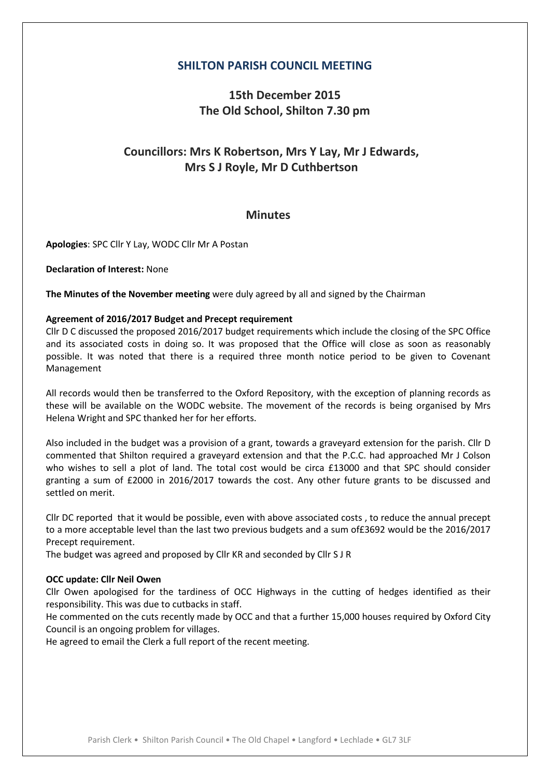### **SHILTON PARISH COUNCIL MEETING**

## **15th December 2015 The Old School, Shilton 7.30 pm**

# **Councillors: Mrs K Robertson, Mrs Y Lay, Mr J Edwards, Mrs S J Royle, Mr D Cuthbertson**

### **Minutes**

**Apologies**: SPC Cllr Y Lay, WODC Cllr Mr A Postan

**Declaration of Interest:** None

**The Minutes of the November meeting** were duly agreed by all and signed by the Chairman

#### **Agreement of 2016/2017 Budget and Precept requirement**

Cllr D C discussed the proposed 2016/2017 budget requirements which include the closing of the SPC Office and its associated costs in doing so. It was proposed that the Office will close as soon as reasonably possible. It was noted that there is a required three month notice period to be given to Covenant Management

All records would then be transferred to the Oxford Repository, with the exception of planning records as these will be available on the WODC website. The movement of the records is being organised by Mrs Helena Wright and SPC thanked her for her efforts.

Also included in the budget was a provision of a grant, towards a graveyard extension for the parish. Cllr D commented that Shilton required a graveyard extension and that the P.C.C. had approached Mr J Colson who wishes to sell a plot of land. The total cost would be circa £13000 and that SPC should consider granting a sum of £2000 in 2016/2017 towards the cost. Any other future grants to be discussed and settled on merit.

Cllr DC reported that it would be possible, even with above associated costs , to reduce the annual precept to a more acceptable level than the last two previous budgets and a sum of£3692 would be the 2016/2017 Precept requirement.

The budget was agreed and proposed by Cllr KR and seconded by Cllr S J R

#### **OCC update: Cllr Neil Owen**

Cllr Owen apologised for the tardiness of OCC Highways in the cutting of hedges identified as their responsibility. This was due to cutbacks in staff.

He commented on the cuts recently made by OCC and that a further 15,000 houses required by Oxford City Council is an ongoing problem for villages.

He agreed to email the Clerk a full report of the recent meeting.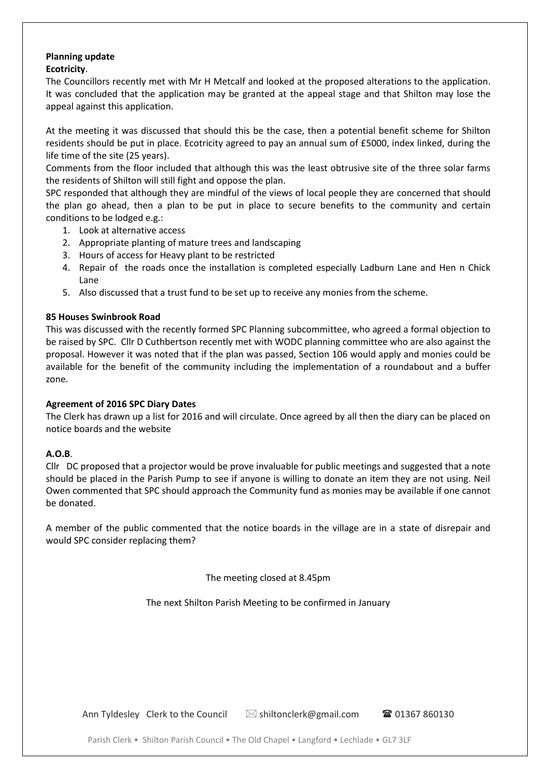#### **Planning update Ecotricity**.

The Councillors recently met with Mr H Metcalf and looked at the proposed alterations to the application. It was concluded that the application may be granted at the appeal stage and that Shilton may lose the appeal against this application.

At the meeting it was discussed that should this be the case, then a potential benefit scheme for Shilton residents should be put in place. Ecotricity agreed to pay an annual sum of £5000, index linked, during the life time of the site (25 years).

Comments from the floor included that although this was the least obtrusive site of the three solar farms the residents of Shilton will still fight and oppose the plan.

SPC responded that although they are mindful of the views of local people they are concerned that should the plan go ahead, then a plan to be put in place to secure benefits to the community and certain conditions to be lodged e.g.:

- 1. Look at alternative access
- 2. Appropriate planting of mature trees and landscaping
- 3. Hours of access for Heavy plant to be restricted
- 4. Repair of the roads once the installation is completed especially Ladburn Lane and Hen n Chick Lane
- 5. Also discussed that a trust fund to be set up to receive any monies from the scheme.

#### **85 Houses Swinbrook Road**

This was discussed with the recently formed SPC Planning subcommittee, who agreed a formal objection to be raised by SPC. Cllr D Cuthbertson recently met with WODC planning committee who are also against the proposal. However it was noted that if the plan was passed, Section 106 would apply and monies could be available for the benefit of the community including the implementation of a roundabout and a buffer zone.

#### **Agreement of 2016 SPC Diary Dates**

The Clerk has drawn up a list for 2016 and will circulate. Once agreed by all then the diary can be placed on notice boards and the website

#### **A.O.B**.

Cllr DC proposed that a projector would be prove invaluable for public meetings and suggested that a note should be placed in the Parish Pump to see if anyone is willing to donate an item they are not using. Neil Owen commented that SPC should approach the Community fund as monies may be available if one cannot be donated.

A member of the public commented that the notice boards in the village are in a state of disrepair and would SPC consider replacing them?

The meeting closed at 8.45pm

The next Shilton Parish Meeting to be confirmed in January

Ann Tyldesley Clerk to the Council  $\boxtimes$  shiltonclerk@gmail.com  $\blacksquare$  01367 860130

Parish Clerk • Shilton Parish Council • The Old Chapel • Langford • Lechlade • GL7 3LF